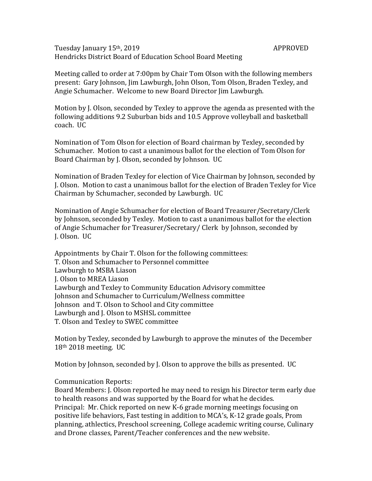Tuesday January 15<sup>th</sup>, 2019 **APPROVED** Hendricks District Board of Education School Board Meeting

Meeting called to order at 7:00pm by Chair Tom Olson with the following members present: Gary Johnson, Jim Lawburgh, John Olson, Tom Olson, Braden Texley, and Angie Schumacher. Welcome to new Board Director Jim Lawburgh.

Motion by J. Olson, seconded by Texley to approve the agenda as presented with the following additions 9.2 Suburban bids and 10.5 Approve volleyball and basketball coach. UC

Nomination of Tom Olson for election of Board chairman by Texley, seconded by Schumacher. Motion to cast a unanimous ballot for the election of Tom Olson for Board Chairman by J. Olson, seconded by Johnson. UC

Nomination of Braden Texley for election of Vice Chairman by Johnson, seconded by J. Olson. Motion to cast a unanimous ballot for the election of Braden Texley for Vice Chairman by Schumacher, seconded by Lawburgh. UC

Nomination of Angie Schumacher for election of Board Treasurer/Secretary/Clerk by Johnson, seconded by Texley. Motion to cast a unanimous ballot for the election of Angie Schumacher for Treasurer/Secretary/ Clerk by Johnson, seconded by J. Olson. UC

Appointments by Chair T. Olson for the following committees: T. Olson and Schumacher to Personnel committee Lawburgh to MSBA Liason J. Olson to MREA Liason Lawburgh and Texley to Community Education Advisory committee Johnson and Schumacher to Curriculum/Wellness committee Johnson and T. Olson to School and City committee Lawburgh and J. Olson to MSHSL committee T. Olson and Texley to SWEC committee

Motion by Texley, seconded by Lawburgh to approve the minutes of the December 18th 2018 meeting. UC

Motion by Johnson, seconded by J. Olson to approve the bills as presented. UC

## Communication Reports:

Board Members: J. Olson reported he may need to resign his Director term early due to health reasons and was supported by the Board for what he decides. Principal: Mr. Chick reported on new K-6 grade morning meetings focusing on positive life behaviors, Fast testing in addition to MCA's, K-12 grade goals, Prom planning, athlectics, Preschool screening, College academic writing course, Culinary and Drone classes, Parent/Teacher conferences and the new website.